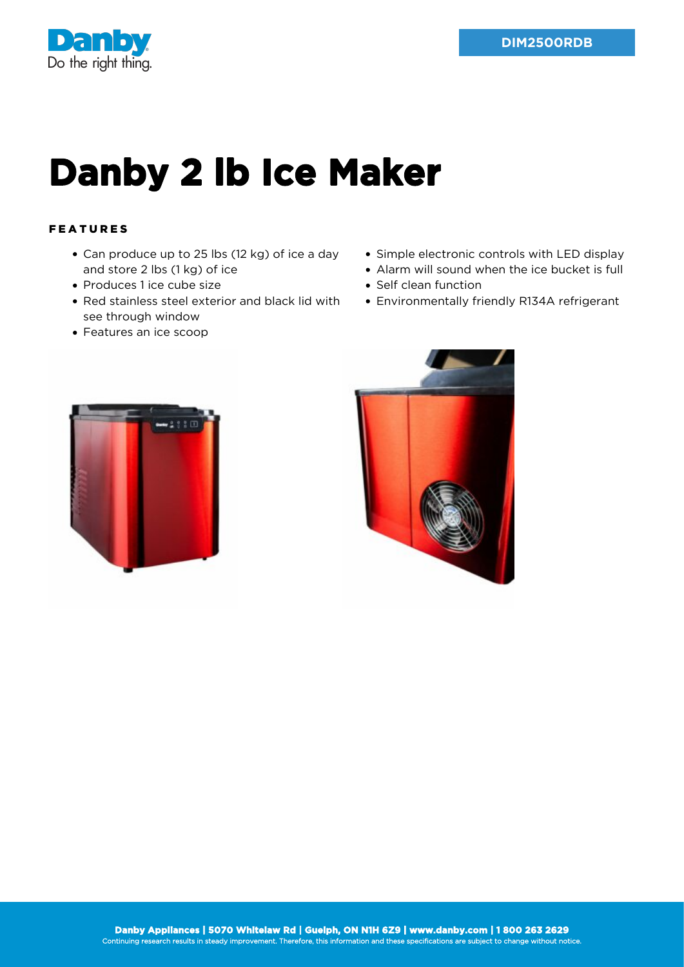

## **Danby 2 lb Ice Maker**

## FEATURES

- Can produce up to 25 lbs (12 kg) of ice a day and store 2 lbs (1 kg) of ice
- Produces 1 ice cube size
- Red stainless steel exterior and black lid with see through window
- Features an ice scoop
- Simple electronic controls with LED display
- Alarm will sound when the ice bucket is full
- Self clean function
- Environmentally friendly R134A refrigerant